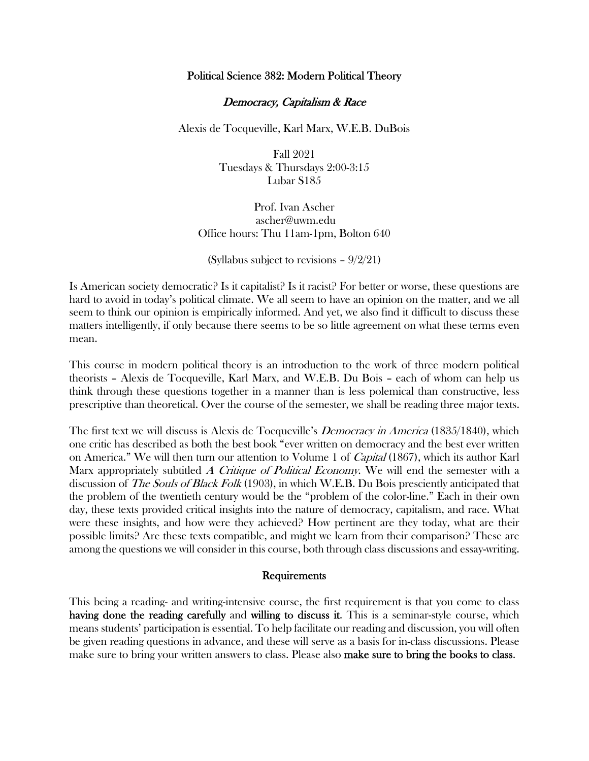# Political Science 382: Modern Political Theory

## Democracy, Capitalism & Race

Alexis de Tocqueville, Karl Marx, W.E.B. DuBois

Fall 2021 Tuesdays & Thursdays 2:00-3:15 Lubar S185

Prof. Ivan Ascher ascher@uwm.edu Office hours: Thu 11am-1pm, Bolton 640

(Syllabus subject to revisions  $-9/2/21$ )

Is American society democratic? Is it capitalist? Is it racist? For better or worse, these questions are hard to avoid in today's political climate. We all seem to have an opinion on the matter, and we all seem to think our opinion is empirically informed. And yet, we also find it difficult to discuss these matters intelligently, if only because there seems to be so little agreement on what these terms even mean.

This course in modern political theory is an introduction to the work of three modern political theorists – Alexis de Tocqueville, Karl Marx, and W.E.B. Du Bois – each of whom can help us think through these questions together in a manner than is less polemical than constructive, less prescriptive than theoretical. Over the course of the semester, we shall be reading three major texts.

The first text we will discuss is Alexis de Tocqueville's *Democracy in America* (1835/1840), which one critic has described as both the best book "ever written on democracy and the best ever written on America." We will then turn our attention to Volume 1 of *Capital* (1867), which its author Karl Marx appropriately subtitled A Critique of Political Economy. We will end the semester with a discussion of *The Souls of Black Folk* (1903), in which W.E.B. Du Bois presciently anticipated that the problem of the twentieth century would be the "problem of the color-line." Each in their own day, these texts provided critical insights into the nature of democracy, capitalism, and race. What were these insights, and how were they achieved? How pertinent are they today, what are their possible limits? Are these texts compatible, and might we learn from their comparison? These are among the questions we will consider in this course, both through class discussions and essay-writing.

#### Requirements

This being a reading- and writing-intensive course, the first requirement is that you come to class having done the reading carefully and willing to discuss it. This is a seminar-style course, which means students' participation is essential. To help facilitate our reading and discussion, you will often be given reading questions in advance, and these will serve as a basis for in-class discussions. Please make sure to bring your written answers to class. Please also make sure to bring the books to class.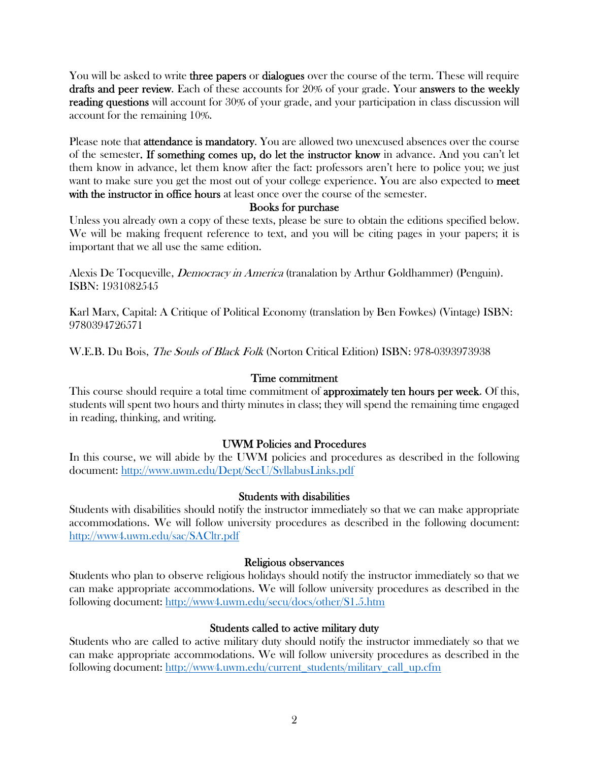You will be asked to write **three papers** or **dialogues** over the course of the term. These will require drafts and peer review. Each of these accounts for 20% of your grade. Your answers to the weekly reading questions will account for 30% of your grade, and your participation in class discussion will account for the remaining 10%.

Please note that attendance is mandatory. You are allowed two unexcused absences over the course of the semester. If something comes up, do let the instructor know in advance. And you can't let them know in advance, let them know after the fact: professors aren't here to police you; we just want to make sure you get the most out of your college experience. You are also expected to meet with the instructor in office hours at least once over the course of the semester.

# Books for purchase

Unless you already own a copy of these texts, please be sure to obtain the editions specified below. We will be making frequent reference to text, and you will be citing pages in your papers; it is important that we all use the same edition.

Alexis De Tocqueville, *Democracy in America* (tranalation by Arthur Goldhammer) (Penguin). ISBN: 1931082545

Karl Marx, Capital: A Critique of Political Economy (translation by Ben Fowkes) (Vintage) ISBN: 9780394726571

W.E.B. Du Bois, The Souls of Black Folk (Norton Critical Edition) ISBN: 978-0393973938

# Time commitment

This course should require a total time commitment of approximately ten hours per week. Of this, students will spent two hours and thirty minutes in class; they will spend the remaining time engaged in reading, thinking, and writing.

# UWM Policies and Procedures

In this course, we will abide by the UWM policies and procedures as described in the following document: http://www.uwm.edu/Dept/SecU/SyllabusLinks.pdf

# Students with disabilities

Students with disabilities should notify the instructor immediately so that we can make appropriate accommodations. We will follow university procedures as described in the following document: http://www4.uwm.edu/sac/SACltr.pdf

# Religious observances

Students who plan to observe religious holidays should notify the instructor immediately so that we can make appropriate accommodations. We will follow university procedures as described in the following document: http://www4.uwm.edu/secu/docs/other/S1.5.htm

# Students called to active military duty

Students who are called to active military duty should notify the instructor immediately so that we can make appropriate accommodations. We will follow university procedures as described in the following document: http://www4.uwm.edu/current\_students/military\_call\_up.cfm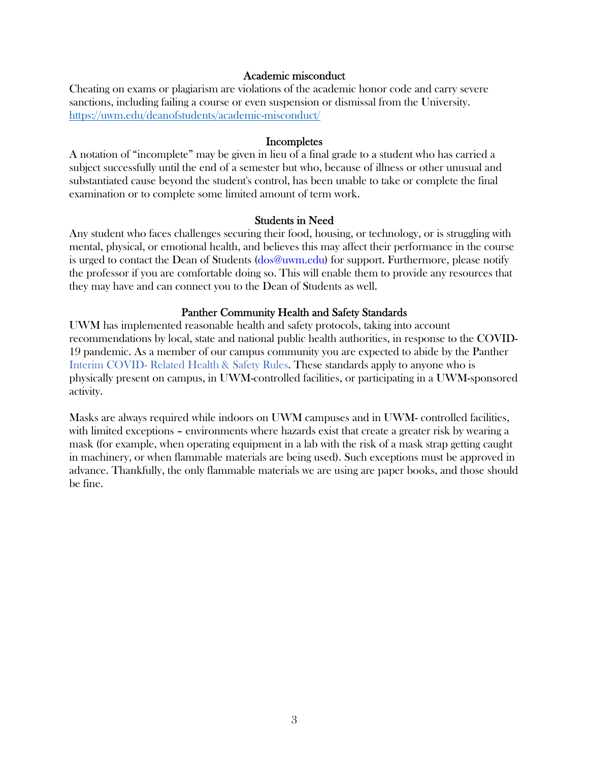## Academic misconduct

Cheating on exams or plagiarism are violations of the academic honor code and carry severe sanctions, including failing a course or even suspension or dismissal from the University. https://uwm.edu/deanofstudents/academic-misconduct/

### **Incompletes**

A notation of "incomplete" may be given in lieu of a final grade to a student who has carried a subject successfully until the end of a semester but who, because of illness or other unusual and substantiated cause beyond the student's control, has been unable to take or complete the final examination or to complete some limited amount of term work.

### Students in Need

Any student who faces challenges securing their food, housing, or technology, or is struggling with mental, physical, or emotional health, and believes this may affect their performance in the course is urged to contact the Dean of Students (dos@uwm.edu) for support. Furthermore, please notify the professor if you are comfortable doing so. This will enable them to provide any resources that they may have and can connect you to the Dean of Students as well.

# Panther Community Health and Safety Standards

UWM has implemented reasonable health and safety protocols, taking into account recommendations by local, state and national public health authorities, in response to the COVID-19 pandemic. As a member of our campus community you are expected to abide by the Panther Interim COVID- Related Health & Safety Rules. These standards apply to anyone who is physically present on campus, in UWM-controlled facilities, or participating in a UWM-sponsored activity.

Masks are always required while indoors on UWM campuses and in UWM- controlled facilities, with limited exceptions – environments where hazards exist that create a greater risk by wearing a mask (for example, when operating equipment in a lab with the risk of a mask strap getting caught in machinery, or when flammable materials are being used). Such exceptions must be approved in advance. Thankfully, the only flammable materials we are using are paper books, and those should be fine.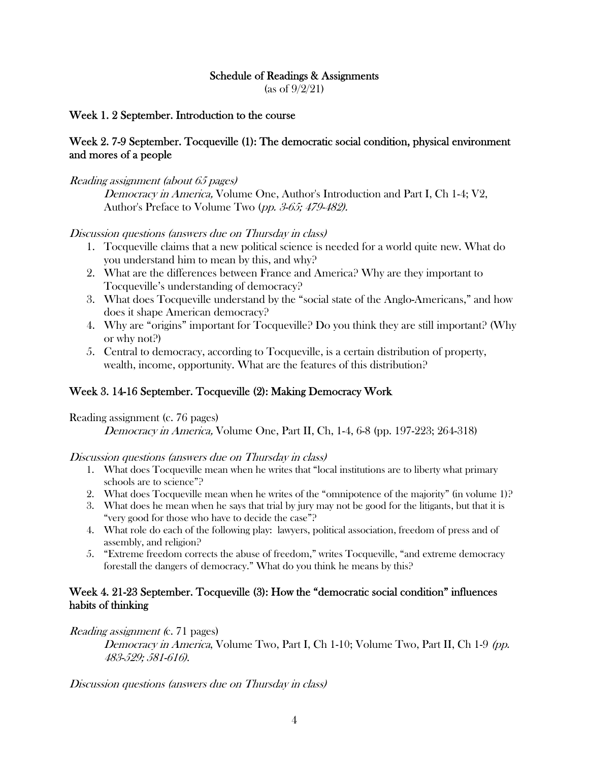## Schedule of Readings & Assignments

(as of 9/2/21)

## Week 1. 2 September. Introduction to the course

# Week 2. 7-9 September. Tocqueville (1): The democratic social condition, physical environment and mores of a people

## Reading assignment (about 65 pages)

Democracy in America, Volume One, Author's Introduction and Part I, Ch 1-4; V2, Author's Preface to Volume Two (pp. 3-65; 479-482).

## Discussion questions (answers due on Thursday in class)

- 1. Tocqueville claims that a new political science is needed for a world quite new. What do you understand him to mean by this, and why?
- 2. What are the differences between France and America? Why are they important to Tocqueville's understanding of democracy?
- 3. What does Tocqueville understand by the "social state of the Anglo-Americans," and how does it shape American democracy?
- 4. Why are "origins" important for Tocqueville? Do you think they are still important? (Why or why not?)
- 5. Central to democracy, according to Tocqueville, is a certain distribution of property, wealth, income, opportunity. What are the features of this distribution?

# Week 3. 14-16 September. Tocqueville (2): Making Democracy Work

Reading assignment (c. 76 pages)

Democracy in America, Volume One, Part II, Ch, 1-4, 6-8 (pp. 197-223; 264-318)

Discussion questions (answers due on Thursday in class)

- 1. What does Tocqueville mean when he writes that "local institutions are to liberty what primary schools are to science"?
- 2. What does Tocqueville mean when he writes of the "omnipotence of the majority" (in volume 1)?
- 3. What does he mean when he says that trial by jury may not be good for the litigants, but that it is "very good for those who have to decide the case"?
- 4. What role do each of the following play: lawyers, political association, freedom of press and of assembly, and religion?
- 5. "Extreme freedom corrects the abuse of freedom," writes Tocqueville, "and extreme democracy forestall the dangers of democracy." What do you think he means by this?

# Week 4. 21-23 September. Tocqueville (3): How the "democratic social condition" influences habits of thinking

### Reading assignment (c. 71 pages)

Democracy in America, Volume Two, Part I, Ch 1-10; Volume Two, Part II, Ch 1-9 (pp. 483-529; 581-616).

Discussion questions (answers due on Thursday in class)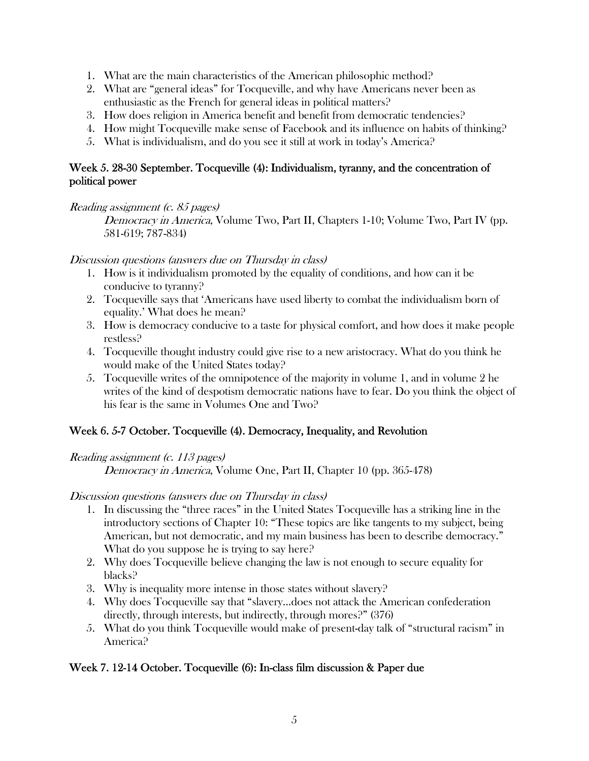- 1. What are the main characteristics of the American philosophic method?
- 2. What are "general ideas" for Tocqueville, and why have Americans never been as enthusiastic as the French for general ideas in political matters?
- 3. How does religion in America benefit and benefit from democratic tendencies?
- 4. How might Tocqueville make sense of Facebook and its influence on habits of thinking?
- 5. What is individualism, and do you see it still at work in today's America?

# Week 5. 28-30 September. Tocqueville (4): Individualism, tyranny, and the concentration of political power

Reading assignment (c. 85 pages)

Democracy in America, Volume Two, Part II, Chapters 1-10; Volume Two, Part IV (pp. 581-619; 787-834)

# Discussion questions (answers due on Thursday in class)

- 1. How is it individualism promoted by the equality of conditions, and how can it be conducive to tyranny?
- 2. Tocqueville says that 'Americans have used liberty to combat the individualism born of equality.' What does he mean?
- 3. How is democracy conducive to a taste for physical comfort, and how does it make people restless?
- 4. Tocqueville thought industry could give rise to a new aristocracy. What do you think he would make of the United States today?
- 5. Tocqueville writes of the omnipotence of the majority in volume 1, and in volume 2 he writes of the kind of despotism democratic nations have to fear. Do you think the object of his fear is the same in Volumes One and Two?

# Week 6. 5-7 October. Tocqueville (4). Democracy, Inequality, and Revolution

Reading assignment (c. 113 pages)

Democracy in America, Volume One, Part II, Chapter 10 (pp. 365-478)

Discussion questions (answers due on Thursday in class)

- 1. In discussing the "three races" in the United States Tocqueville has a striking line in the introductory sections of Chapter 10: "These topics are like tangents to my subject, being American, but not democratic, and my main business has been to describe democracy." What do you suppose he is trying to say here?
- 2. Why does Tocqueville believe changing the law is not enough to secure equality for blacks?
- 3. Why is inequality more intense in those states without slavery?
- 4. Why does Tocqueville say that "slavery…does not attack the American confederation directly, through interests, but indirectly, through mores?" (376)
- 5. What do you think Tocqueville would make of present-day talk of "structural racism" in America?

# Week 7. 12-14 October. Tocqueville (6): In-class film discussion & Paper due